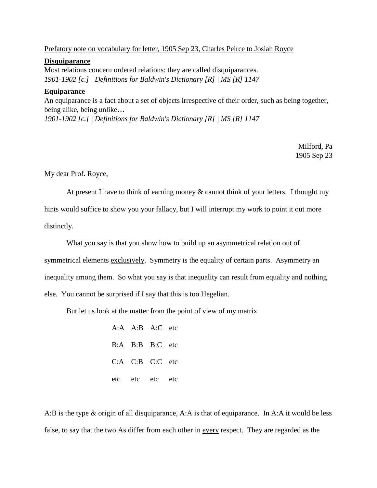## Prefatory note on vocabulary for letter, 1905 Sep 23, Charles Peirce to Josiah Royce

## **Disquiparance**

Most relations concern ordered relations: they are called disquiparances. *1901-1902 [c.] | Definitions for Baldwin's Dictionary [R] | MS [R] 1147*

## **Equiparance**

An equiparance is a fact about a set of objects irrespective of their order, such as being together, being alike, being unlike… *1901-1902 [c.] | Definitions for Baldwin's Dictionary [R] | MS [R] 1147*

> Milford, Pa 1905 Sep 23

My dear Prof. Royce,

At present I have to think of earning money & cannot think of your letters. I thought my hints would suffice to show you your fallacy, but I will interrupt my work to point it out more distinctly.

What you say is that you show how to build up an asymmetrical relation out of symmetrical elements exclusively. Symmetry is the equality of certain parts. Asymmetry an inequality among them. So what you say is that inequality can result from equality and nothing else. You cannot be surprised if I say that this is too Hegelian.

But let us look at the matter from the point of view of my matrix

A:A A:B A:C etc B:A B:B B:C etc C:A C:B C:C etc etc etc etc etc

A:B is the type & origin of all disquiparance, A:A is that of equiparance. In A:A it would be less false, to say that the two As differ from each other in every respect. They are regarded as the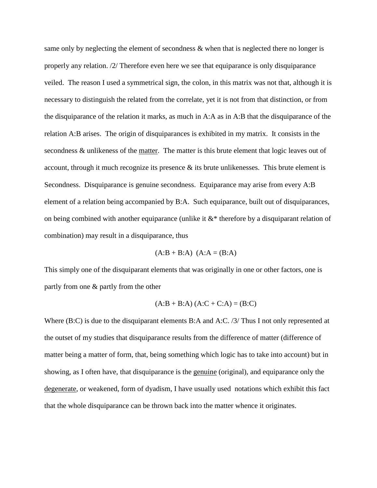same only by neglecting the element of secondness & when that is neglected there no longer is properly any relation. /2/ Therefore even here we see that equiparance is only disquiparance veiled. The reason I used a symmetrical sign, the colon, in this matrix was not that, although it is necessary to distinguish the related from the correlate, yet it is not from that distinction, or from the disquiparance of the relation it marks, as much in A:A as in A:B that the disquiparance of the relation A:B arises. The origin of disquiparances is exhibited in my matrix. It consists in the secondness & unlikeness of the matter. The matter is this brute element that logic leaves out of account, through it much recognize its presence  $\&$  its brute unlikenesses. This brute element is Secondness. Disquiparance is genuine secondness. Equiparance may arise from every A:B element of a relation being accompanied by B:A. Such equiparance, built out of disquiparances, on being combined with another equiparance (unlike it  $&*$  therefore by a disquiparant relation of combination) may result in a disquiparance, thus

$$
(A:B + B:A) (A:A = (B:A))
$$

This simply one of the disquiparant elements that was originally in one or other factors, one is partly from one & partly from the other

$$
(A:B + B:A) (A:C + C:A) = (B:C)
$$

Where (B:C) is due to the disquiparant elements B:A and A:C. /3/ Thus I not only represented at the outset of my studies that disquiparance results from the difference of matter (difference of matter being a matter of form, that, being something which logic has to take into account) but in showing, as I often have, that disquiparance is the genuine (original), and equiparance only the degenerate, or weakened, form of dyadism, I have usually used notations which exhibit this fact that the whole disquiparance can be thrown back into the matter whence it originates.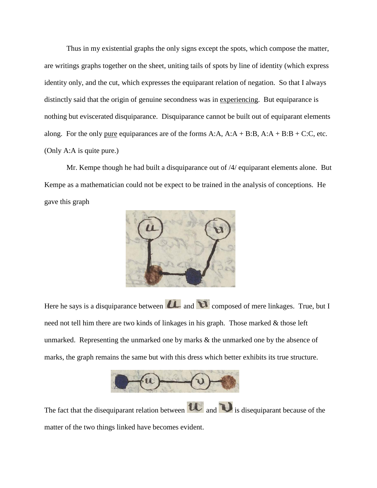Thus in my existential graphs the only signs except the spots, which compose the matter, are writings graphs together on the sheet, uniting tails of spots by line of identity (which express identity only, and the cut, which expresses the equiparant relation of negation. So that I always distinctly said that the origin of genuine secondness was in experiencing. But equiparance is nothing but eviscerated disquiparance. Disquiparance cannot be built out of equiparant elements along. For the only pure equiparances are of the forms  $A:A$ ,  $A:A + B:B$ ,  $A:A + B:B + C:C$ , etc. (Only A:A is quite pure.)

Mr. Kempe though he had built a disquiparance out of /4/ equiparant elements alone. But Kempe as a mathematician could not be expect to be trained in the analysis of conceptions. He gave this graph



Here he says is a disquiparance between  $\mathbf{u}$  and  $\mathbf{v}$  composed of mere linkages. True, but I need not tell him there are two kinds of linkages in his graph. Those marked & those left unmarked. Representing the unmarked one by marks & the unmarked one by the absence of marks, the graph remains the same but with this dress which better exhibits its true structure.



The fact that the disequiparant relation between  $\mathbf{u}_{\text{and}}$  is disequiparant because of the matter of the two things linked have becomes evident.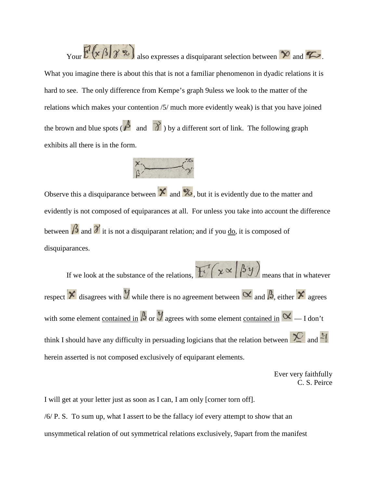Your  $E^{1}(x \beta | \gamma \infty)$  also expresses a disquiparant selection between  $\infty$  and  $\infty$ . What you imagine there is about this that is not a familiar phenomenon in dyadic relations it is hard to see. The only difference from Kempe's graph 9uless we look to the matter of the relations which makes your contention /5/ much more evidently weak) is that you have joined the brown and blue spots ( $\beta$  and  $\gamma$ ) by a different sort of link. The following graph exhibits all there is in the form.



Observe this a disquiparance between  $\mathbf{\hat{x}}$  and  $\mathbf{\hat{z}}$ , but it is evidently due to the matter and evidently is not composed of equiparances at all. For unless you take into account the difference between  $\beta$  and  $\gamma$  it is not a disquiparant relation; and if you <u>do</u>, it is composed of disquiparances.

If we look at the substance of the relations,  $\mathbb{H}(\chi \propto |\beta y)$  means that in whatever respect  $\times$  disagrees with  $\mathcal{Y}$  while there is no agreement between  $\propto$  and  $\beta$ , either  $\times$  agrees with some element <u>contained in</u>  $\beta$  or  $\gamma$  agrees with some element <u>contained in</u>  $\alpha$  — I don't think I should have any difficulty in persuading logicians that the relation between  $\sum_{n=1}^{\infty}$  and herein asserted is not composed exclusively of equiparant elements.

> Ever very faithfully C. S. Peirce

I will get at your letter just as soon as I can, I am only [corner torn off]. /6/ P. S. To sum up, what I assert to be the fallacy iof every attempt to show that an unsymmetical relation of out symmetrical relations exclusively, 9apart from the manifest